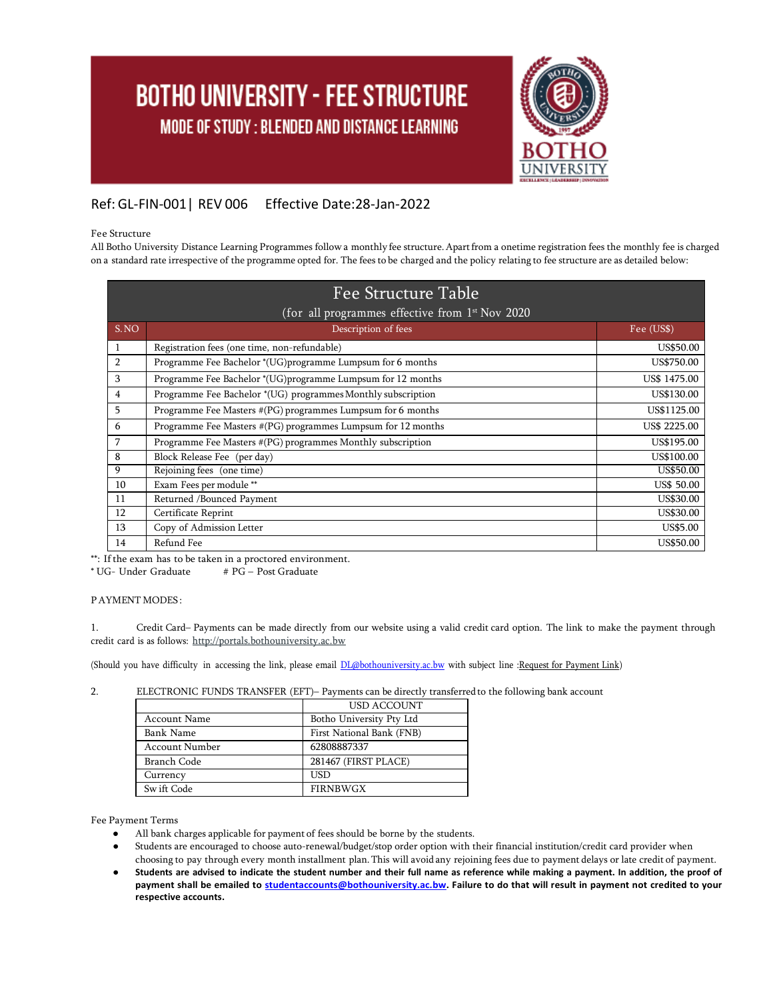# **BOTHO UNIVERSITY - FEE STRUCTURE** MODE OF STUDY : BLENDED AND DISTANCE LEARNING



### Ref: GL-FIN-001| REV 006 Effective Date:28-Jan-2022

#### Fee Structure

All Botho University Distance Learning Programmes followa monthly fee structure.Apartfrom a onetime registration fees the monthly fee is charged on a standard rate irrespective of the programme opted for. The fees to be charged and the policy relating to fee structure are as detailed below:

| Fee Structure Table<br>(for all programmes effective from 1 <sup>st</sup> Nov 2020 |                                                              |                   |  |  |
|------------------------------------------------------------------------------------|--------------------------------------------------------------|-------------------|--|--|
| S.NO                                                                               | Description of fees                                          | Fee (US\$)        |  |  |
| 1                                                                                  | Registration fees (one time, non-refundable)                 | US\$50.00         |  |  |
| $\overline{2}$                                                                     | Programme Fee Bachelor *(UG)programme Lumpsum for 6 months   | US\$750.00        |  |  |
| 3                                                                                  | Programme Fee Bachelor *(UG)programme Lumpsum for 12 months  | US\$ 1475.00      |  |  |
| 4                                                                                  | Programme Fee Bachelor *(UG) programmes Monthly subscription | US\$130.00        |  |  |
| 5                                                                                  | Programme Fee Masters #(PG) programmes Lumpsum for 6 months  | US\$1125.00       |  |  |
| 6                                                                                  | Programme Fee Masters #(PG) programmes Lumpsum for 12 months | US\$ 2225.00      |  |  |
| 7                                                                                  | Programme Fee Masters #(PG) programmes Monthly subscription  | US\$195.00        |  |  |
| 8                                                                                  | Block Release Fee (per day)                                  | US\$100.00        |  |  |
| 9                                                                                  | Rejoining fees (one time)                                    | US\$50.00         |  |  |
| 10                                                                                 | Exam Fees per module **                                      | <b>US\$ 50.00</b> |  |  |
| 11                                                                                 | Returned /Bounced Payment                                    | US\$30.00         |  |  |
| 12                                                                                 | Certificate Reprint                                          | US\$30.00         |  |  |
| 13                                                                                 | Copy of Admission Letter                                     | US\$5.00          |  |  |
| 14                                                                                 | Refund Fee                                                   | US\$50.00         |  |  |

\*\*: If the exam has to be taken in a proctored environment.<br>\* UG- Under Graduate  $\# PG-Post$  Graduate

\* UG- Under Graduate

PAYMENT MODES :

1. Credit Card– Payments can be made directly from our website using a valid credit card option. The link to make the payment through credit card is as follows: [http://portals.bothouniversity.ac.bw](http://portals.bothouniversity.ac.bw/)

(Should you have difficulty in accessing the link, please email *[DL@bothouniversity.ac.bw](mailto:DL@bothouniversity.ac.bw)* with subject line :Request for Payment Link)

| z. | ELECTRONIC FUNDS TRANSFER (EFT)- Payments can be directly transferred to the following bank account |  |  |  |
|----|-----------------------------------------------------------------------------------------------------|--|--|--|
|----|-----------------------------------------------------------------------------------------------------|--|--|--|

|                       | USD ACCOUNT               |  |
|-----------------------|---------------------------|--|
| Account Name          | Botho University Pty Ltd  |  |
| Bank Name             | First National Bank (FNB) |  |
| <b>Account Number</b> | 62808887337               |  |
| Branch Code           | 281467 (FIRST PLACE)      |  |
| Currency              | USD                       |  |
| Sw ift Code           | <b>FIRNBWGX</b>           |  |

Fee Payment Terms

- All bank charges applicable for payment of fees should be borne by the students.
- Students are encouraged to choose auto-renewal/budget/stop order option with their financial institution/credit card provider when
- choosing to pay through every month installment plan. This will avoid any rejoining fees due to payment delays or late credit of payment. Students are advised to indicate the student number and their full name as reference while making a payment. In addition, the proof of **payment shall be emailed to [studentaccounts@bothouniversity.ac.bw.](mailto:studentaccounts@bothouniversity.ac.bw) Failure to do that will result in payment not credited to your respective accounts.**